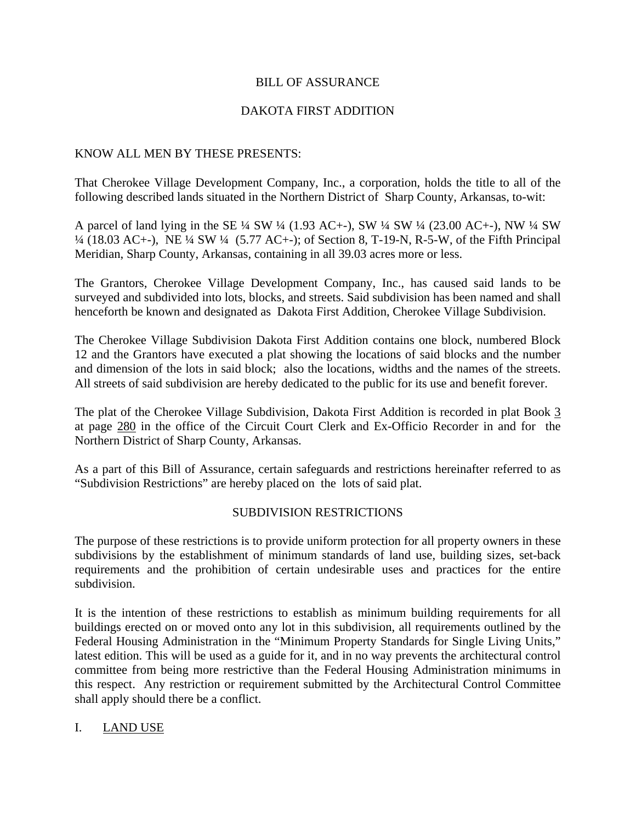#### BILL OF ASSURANCE

### DAKOTA FIRST ADDITION

#### KNOW ALL MEN BY THESE PRESENTS:

That Cherokee Village Development Company, Inc., a corporation, holds the title to all of the following described lands situated in the Northern District of Sharp County, Arkansas, to-wit:

A parcel of land lying in the SE ¼ SW ¼ (1.93 AC+-), SW ¼ SW ¼ (23.00 AC+-), NW ¼ SW ¼ (18.03 AC+-), NE ¼ SW ¼ (5.77 AC+-); of Section 8, T-19-N, R-5-W, of the Fifth Principal Meridian, Sharp County, Arkansas, containing in all 39.03 acres more or less.

The Grantors, Cherokee Village Development Company, Inc., has caused said lands to be surveyed and subdivided into lots, blocks, and streets. Said subdivision has been named and shall henceforth be known and designated as Dakota First Addition, Cherokee Village Subdivision.

The Cherokee Village Subdivision Dakota First Addition contains one block, numbered Block 12 and the Grantors have executed a plat showing the locations of said blocks and the number and dimension of the lots in said block; also the locations, widths and the names of the streets. All streets of said subdivision are hereby dedicated to the public for its use and benefit forever.

The plat of the Cherokee Village Subdivision, Dakota First Addition is recorded in plat Book 3 at page 280 in the office of the Circuit Court Clerk and Ex-Officio Recorder in and for the Northern District of Sharp County, Arkansas.

As a part of this Bill of Assurance, certain safeguards and restrictions hereinafter referred to as "Subdivision Restrictions" are hereby placed on the lots of said plat.

#### SUBDIVISION RESTRICTIONS

The purpose of these restrictions is to provide uniform protection for all property owners in these subdivisions by the establishment of minimum standards of land use, building sizes, set-back requirements and the prohibition of certain undesirable uses and practices for the entire subdivision.

It is the intention of these restrictions to establish as minimum building requirements for all buildings erected on or moved onto any lot in this subdivision, all requirements outlined by the Federal Housing Administration in the "Minimum Property Standards for Single Living Units," latest edition. This will be used as a guide for it, and in no way prevents the architectural control committee from being more restrictive than the Federal Housing Administration minimums in this respect. Any restriction or requirement submitted by the Architectural Control Committee shall apply should there be a conflict.

#### I. LAND USE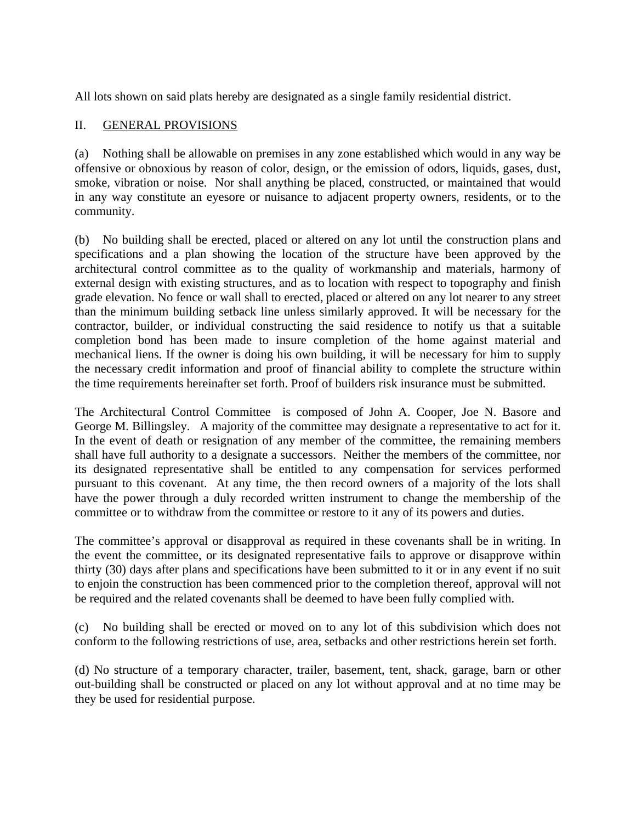All lots shown on said plats hereby are designated as a single family residential district.

### II. GENERAL PROVISIONS

(a) Nothing shall be allowable on premises in any zone established which would in any way be offensive or obnoxious by reason of color, design, or the emission of odors, liquids, gases, dust, smoke, vibration or noise. Nor shall anything be placed, constructed, or maintained that would in any way constitute an eyesore or nuisance to adjacent property owners, residents, or to the community.

(b) No building shall be erected, placed or altered on any lot until the construction plans and specifications and a plan showing the location of the structure have been approved by the architectural control committee as to the quality of workmanship and materials, harmony of external design with existing structures, and as to location with respect to topography and finish grade elevation. No fence or wall shall to erected, placed or altered on any lot nearer to any street than the minimum building setback line unless similarly approved. It will be necessary for the contractor, builder, or individual constructing the said residence to notify us that a suitable completion bond has been made to insure completion of the home against material and mechanical liens. If the owner is doing his own building, it will be necessary for him to supply the necessary credit information and proof of financial ability to complete the structure within the time requirements hereinafter set forth. Proof of builders risk insurance must be submitted.

The Architectural Control Committee is composed of John A. Cooper, Joe N. Basore and George M. Billingsley. A majority of the committee may designate a representative to act for it. In the event of death or resignation of any member of the committee, the remaining members shall have full authority to a designate a successors. Neither the members of the committee, nor its designated representative shall be entitled to any compensation for services performed pursuant to this covenant. At any time, the then record owners of a majority of the lots shall have the power through a duly recorded written instrument to change the membership of the committee or to withdraw from the committee or restore to it any of its powers and duties.

The committee's approval or disapproval as required in these covenants shall be in writing. In the event the committee, or its designated representative fails to approve or disapprove within thirty (30) days after plans and specifications have been submitted to it or in any event if no suit to enjoin the construction has been commenced prior to the completion thereof, approval will not be required and the related covenants shall be deemed to have been fully complied with.

(c) No building shall be erected or moved on to any lot of this subdivision which does not conform to the following restrictions of use, area, setbacks and other restrictions herein set forth.

(d) No structure of a temporary character, trailer, basement, tent, shack, garage, barn or other out-building shall be constructed or placed on any lot without approval and at no time may be they be used for residential purpose.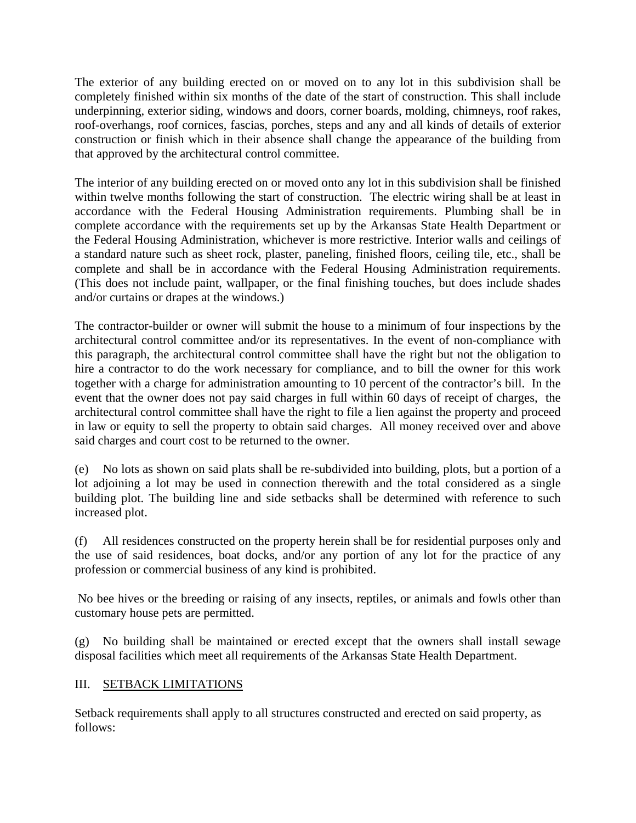The exterior of any building erected on or moved on to any lot in this subdivision shall be completely finished within six months of the date of the start of construction. This shall include underpinning, exterior siding, windows and doors, corner boards, molding, chimneys, roof rakes, roof-overhangs, roof cornices, fascias, porches, steps and any and all kinds of details of exterior construction or finish which in their absence shall change the appearance of the building from that approved by the architectural control committee.

The interior of any building erected on or moved onto any lot in this subdivision shall be finished within twelve months following the start of construction. The electric wiring shall be at least in accordance with the Federal Housing Administration requirements. Plumbing shall be in complete accordance with the requirements set up by the Arkansas State Health Department or the Federal Housing Administration, whichever is more restrictive. Interior walls and ceilings of a standard nature such as sheet rock, plaster, paneling, finished floors, ceiling tile, etc., shall be complete and shall be in accordance with the Federal Housing Administration requirements. (This does not include paint, wallpaper, or the final finishing touches, but does include shades and/or curtains or drapes at the windows.)

The contractor-builder or owner will submit the house to a minimum of four inspections by the architectural control committee and/or its representatives. In the event of non-compliance with this paragraph, the architectural control committee shall have the right but not the obligation to hire a contractor to do the work necessary for compliance, and to bill the owner for this work together with a charge for administration amounting to 10 percent of the contractor's bill. In the event that the owner does not pay said charges in full within 60 days of receipt of charges, the architectural control committee shall have the right to file a lien against the property and proceed in law or equity to sell the property to obtain said charges. All money received over and above said charges and court cost to be returned to the owner.

(e) No lots as shown on said plats shall be re-subdivided into building, plots, but a portion of a lot adjoining a lot may be used in connection therewith and the total considered as a single building plot. The building line and side setbacks shall be determined with reference to such increased plot.

(f) All residences constructed on the property herein shall be for residential purposes only and the use of said residences, boat docks, and/or any portion of any lot for the practice of any profession or commercial business of any kind is prohibited.

 No bee hives or the breeding or raising of any insects, reptiles, or animals and fowls other than customary house pets are permitted.

(g) No building shall be maintained or erected except that the owners shall install sewage disposal facilities which meet all requirements of the Arkansas State Health Department.

### III. SETBACK LIMITATIONS

Setback requirements shall apply to all structures constructed and erected on said property, as follows: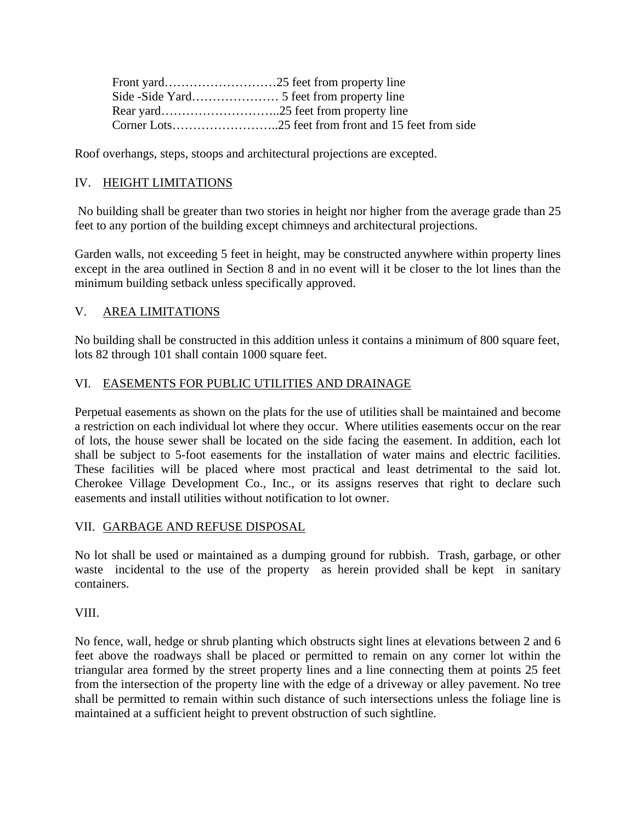Roof overhangs, steps, stoops and architectural projections are excepted.

## IV. HEIGHT LIMITATIONS

 No building shall be greater than two stories in height nor higher from the average grade than 25 feet to any portion of the building except chimneys and architectural projections.

Garden walls, not exceeding 5 feet in height, may be constructed anywhere within property lines except in the area outlined in Section 8 and in no event will it be closer to the lot lines than the minimum building setback unless specifically approved.

### V. AREA LIMITATIONS

No building shall be constructed in this addition unless it contains a minimum of 800 square feet, lots 82 through 101 shall contain 1000 square feet.

### VI. EASEMENTS FOR PUBLIC UTILITIES AND DRAINAGE

Perpetual easements as shown on the plats for the use of utilities shall be maintained and become a restriction on each individual lot where they occur. Where utilities easements occur on the rear of lots, the house sewer shall be located on the side facing the easement. In addition, each lot shall be subject to 5-foot easements for the installation of water mains and electric facilities. These facilities will be placed where most practical and least detrimental to the said lot. Cherokee Village Development Co., Inc., or its assigns reserves that right to declare such easements and install utilities without notification to lot owner.

### VII. GARBAGE AND REFUSE DISPOSAL

No lot shall be used or maintained as a dumping ground for rubbish. Trash, garbage, or other waste incidental to the use of the property as herein provided shall be kept in sanitary containers.

### VIII.

No fence, wall, hedge or shrub planting which obstructs sight lines at elevations between 2 and 6 feet above the roadways shall be placed or permitted to remain on any corner lot within the triangular area formed by the street property lines and a line connecting them at points 25 feet from the intersection of the property line with the edge of a driveway or alley pavement. No tree shall be permitted to remain within such distance of such intersections unless the foliage line is maintained at a sufficient height to prevent obstruction of such sightline.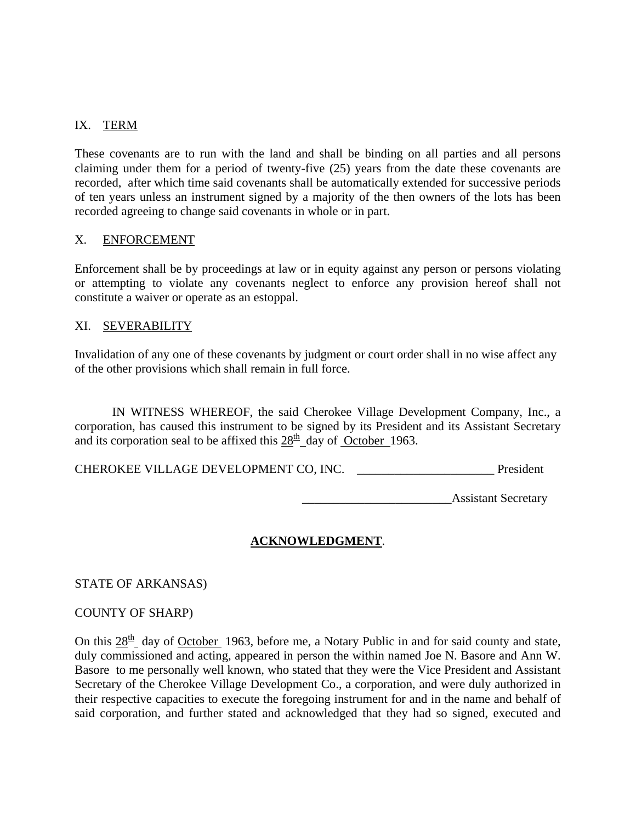### IX. TERM

These covenants are to run with the land and shall be binding on all parties and all persons claiming under them for a period of twenty-five (25) years from the date these covenants are recorded, after which time said covenants shall be automatically extended for successive periods of ten years unless an instrument signed by a majority of the then owners of the lots has been recorded agreeing to change said covenants in whole or in part.

#### X. ENFORCEMENT

Enforcement shall be by proceedings at law or in equity against any person or persons violating or attempting to violate any covenants neglect to enforce any provision hereof shall not constitute a waiver or operate as an estoppal.

#### XI. SEVERABILITY

Invalidation of any one of these covenants by judgment or court order shall in no wise affect any of the other provisions which shall remain in full force.

 IN WITNESS WHEREOF, the said Cherokee Village Development Company, Inc., a corporation, has caused this instrument to be signed by its President and its Assistant Secretary and its corporation seal to be affixed this  $28<sup>th</sup>$  day of October 1963.

CHEROKEE VILLAGE DEVELOPMENT CO, INC. \_\_\_\_\_\_\_\_\_\_\_\_\_\_\_\_\_\_\_\_\_\_ President

 $\overline{A}$ ssistant Secretary

#### **ACKNOWLEDGMENT**.

STATE OF ARKANSAS)

#### COUNTY OF SHARP)

On this  $28<sup>th</sup>$  day of October 1963, before me, a Notary Public in and for said county and state, duly commissioned and acting, appeared in person the within named Joe N. Basore and Ann W. Basore to me personally well known, who stated that they were the Vice President and Assistant Secretary of the Cherokee Village Development Co., a corporation, and were duly authorized in their respective capacities to execute the foregoing instrument for and in the name and behalf of said corporation, and further stated and acknowledged that they had so signed, executed and